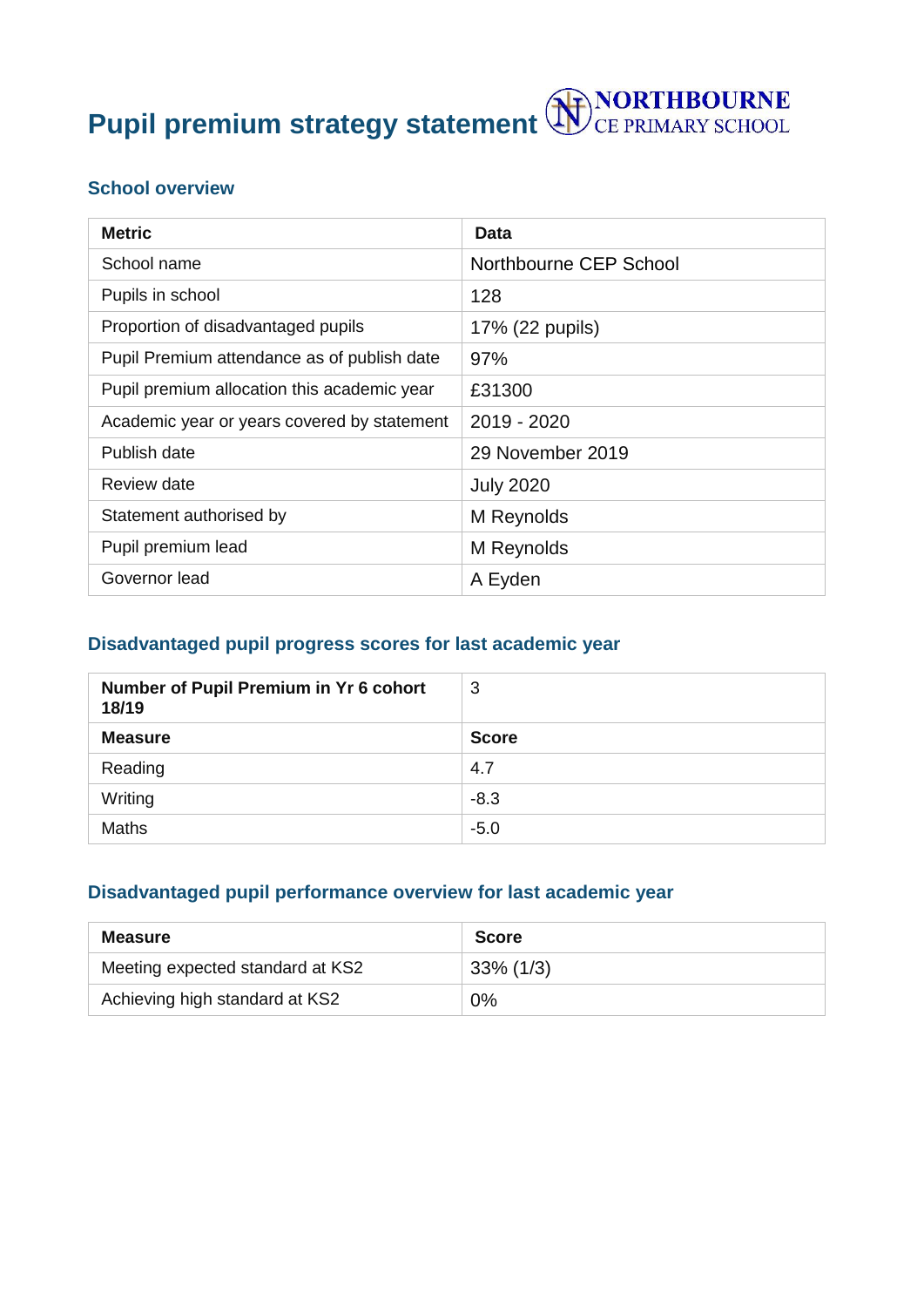**Pupil premium strategy statement <b>WE** CE PRIMARY SCHOOL

### **School overview**

| <b>Metric</b>                               | <b>Data</b>            |
|---------------------------------------------|------------------------|
| School name                                 | Northbourne CEP School |
| Pupils in school                            | 128                    |
| Proportion of disadvantaged pupils          | 17% (22 pupils)        |
| Pupil Premium attendance as of publish date | 97%                    |
| Pupil premium allocation this academic year | £31300                 |
| Academic year or years covered by statement | 2019 - 2020            |
| Publish date                                | 29 November 2019       |
| Review date                                 | <b>July 2020</b>       |
| Statement authorised by                     | M Reynolds             |
| Pupil premium lead                          | M Reynolds             |
| Governor lead                               | A Eyden                |

### **Disadvantaged pupil progress scores for last academic year**

| Number of Pupil Premium in Yr 6 cohort<br>18/19 | 3            |
|-------------------------------------------------|--------------|
| <b>Measure</b>                                  | <b>Score</b> |
| Reading                                         | 4.7          |
| Writing                                         | $-8.3$       |
| <b>Maths</b>                                    | $-5.0$       |

## **Disadvantaged pupil performance overview for last academic year**

| <b>Measure</b>                   | <b>Score</b> |
|----------------------------------|--------------|
| Meeting expected standard at KS2 | $33\%$ (1/3) |
| Achieving high standard at KS2   | 0%           |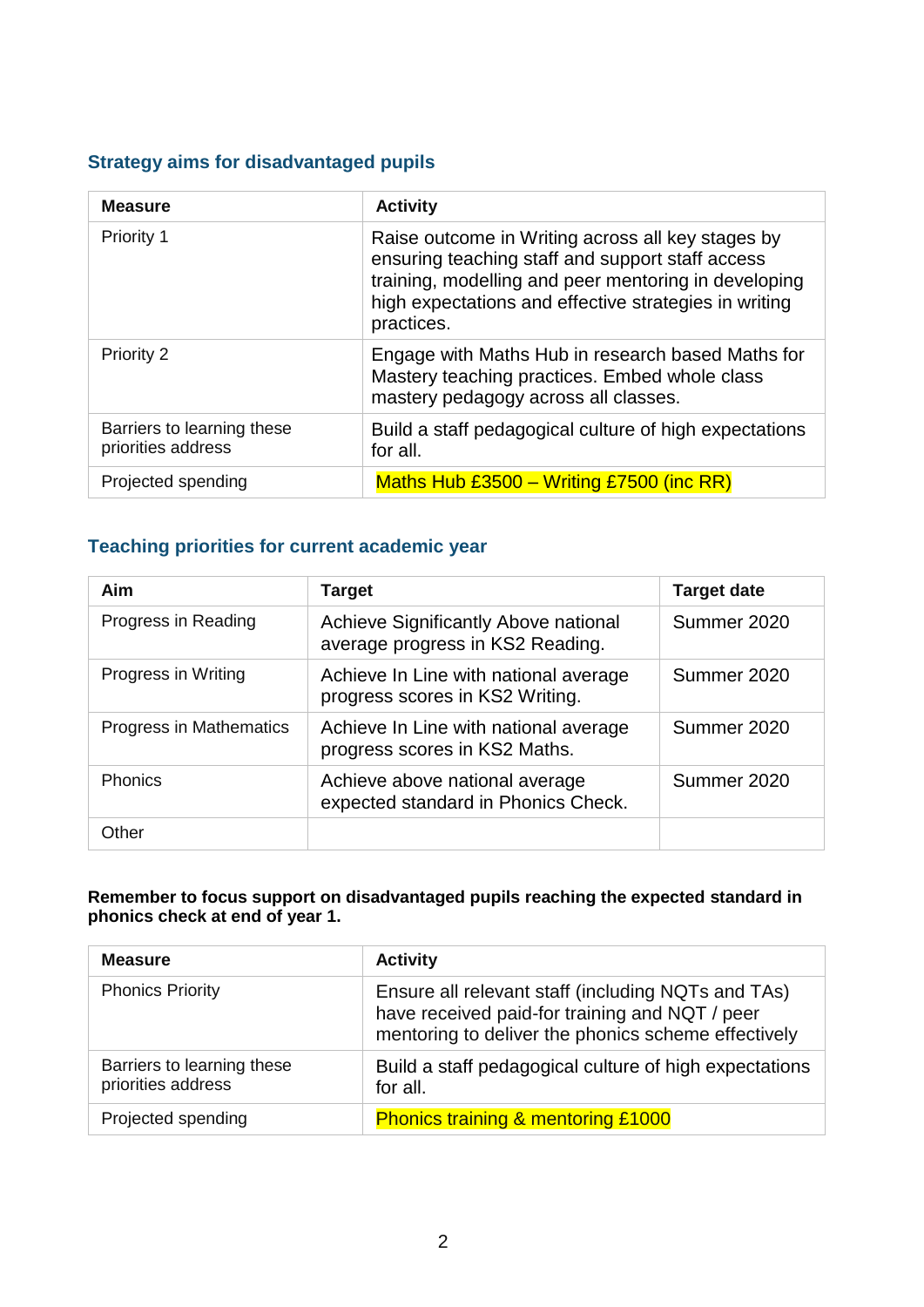### **Strategy aims for disadvantaged pupils**

| <b>Measure</b>                                   | <b>Activity</b>                                                                                                                                                                                                                      |
|--------------------------------------------------|--------------------------------------------------------------------------------------------------------------------------------------------------------------------------------------------------------------------------------------|
| Priority 1                                       | Raise outcome in Writing across all key stages by<br>ensuring teaching staff and support staff access<br>training, modelling and peer mentoring in developing<br>high expectations and effective strategies in writing<br>practices. |
| Priority 2                                       | Engage with Maths Hub in research based Maths for<br>Mastery teaching practices. Embed whole class<br>mastery pedagogy across all classes.                                                                                           |
| Barriers to learning these<br>priorities address | Build a staff pedagogical culture of high expectations<br>for all.                                                                                                                                                                   |
| Projected spending                               | Maths Hub $£3500 - Writing £7500$ (inc RR)                                                                                                                                                                                           |

## **Teaching priorities for current academic year**

| Aim                     | Target                                                                   | <b>Target date</b> |
|-------------------------|--------------------------------------------------------------------------|--------------------|
| Progress in Reading     | Achieve Significantly Above national<br>average progress in KS2 Reading. | Summer 2020        |
| Progress in Writing     | Achieve In Line with national average<br>progress scores in KS2 Writing. | Summer 2020        |
| Progress in Mathematics | Achieve In Line with national average<br>progress scores in KS2 Maths.   | Summer 2020        |
| <b>Phonics</b>          | Achieve above national average<br>expected standard in Phonics Check.    | Summer 2020        |
| Other                   |                                                                          |                    |

#### **Remember to focus support on disadvantaged pupils reaching the expected standard in phonics check at end of year 1.**

| <b>Measure</b>                                   | <b>Activity</b>                                                                                                                                             |
|--------------------------------------------------|-------------------------------------------------------------------------------------------------------------------------------------------------------------|
| <b>Phonics Priority</b>                          | Ensure all relevant staff (including NQTs and TAs)<br>have received paid-for training and NQT / peer<br>mentoring to deliver the phonics scheme effectively |
| Barriers to learning these<br>priorities address | Build a staff pedagogical culture of high expectations<br>for all.                                                                                          |
| Projected spending                               | <b>Phonics training &amp; mentoring £1000</b>                                                                                                               |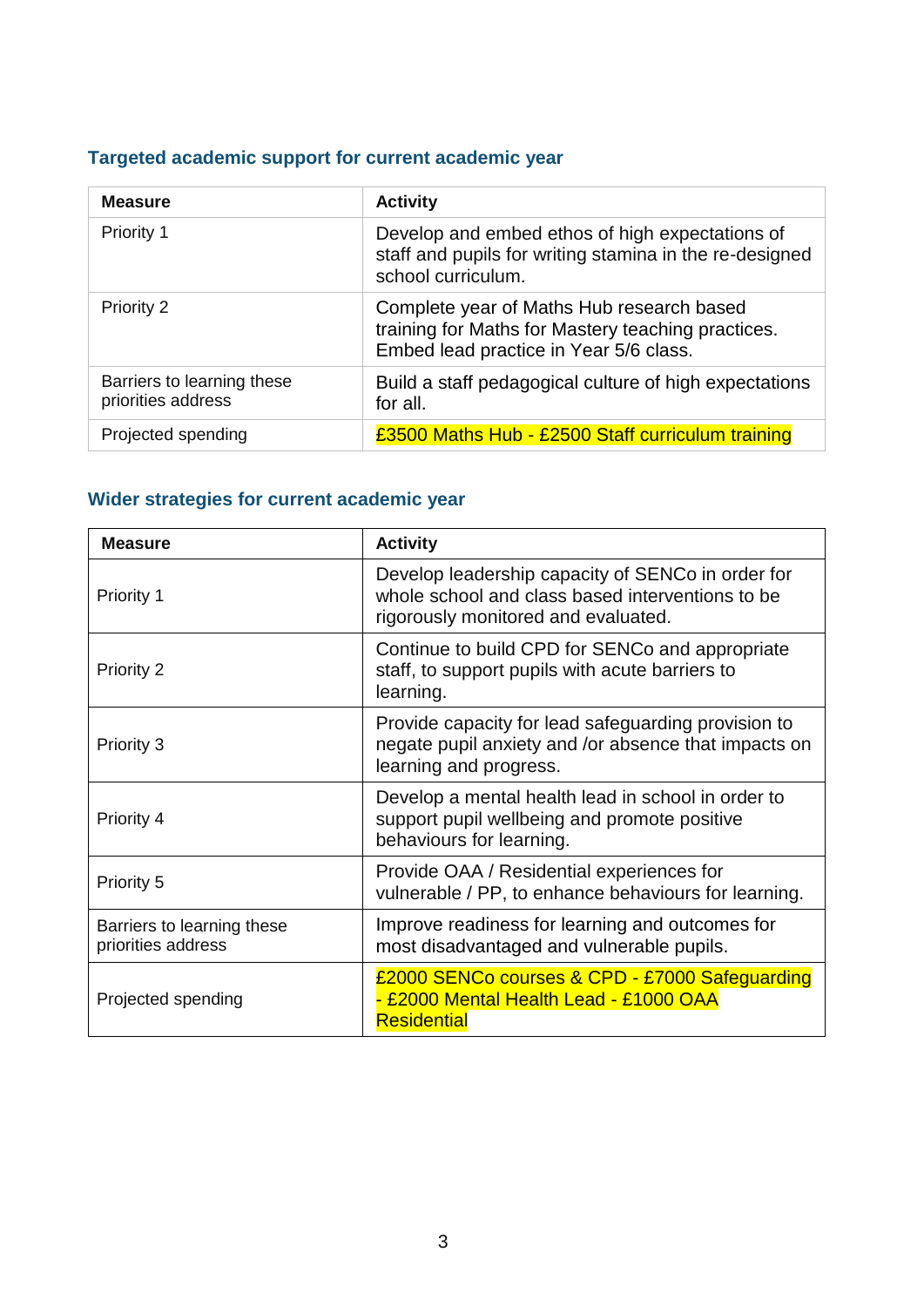# **Targeted academic support for current academic year**

| <b>Measure</b>                                   | <b>Activity</b>                                                                                                                           |
|--------------------------------------------------|-------------------------------------------------------------------------------------------------------------------------------------------|
| Priority 1                                       | Develop and embed ethos of high expectations of<br>staff and pupils for writing stamina in the re-designed<br>school curriculum.          |
| Priority 2                                       | Complete year of Maths Hub research based<br>training for Maths for Mastery teaching practices.<br>Embed lead practice in Year 5/6 class. |
| Barriers to learning these<br>priorities address | Build a staff pedagogical culture of high expectations<br>for all.                                                                        |
| Projected spending                               | £3500 Maths Hub - £2500 Staff curriculum training                                                                                         |

# **Wider strategies for current academic year**

| <b>Measure</b>                                   | <b>Activity</b>                                                                                                                              |
|--------------------------------------------------|----------------------------------------------------------------------------------------------------------------------------------------------|
| Priority 1                                       | Develop leadership capacity of SENCo in order for<br>whole school and class based interventions to be<br>rigorously monitored and evaluated. |
| Priority 2                                       | Continue to build CPD for SENCo and appropriate<br>staff, to support pupils with acute barriers to<br>learning.                              |
| Priority 3                                       | Provide capacity for lead safeguarding provision to<br>negate pupil anxiety and /or absence that impacts on<br>learning and progress.        |
| Priority 4                                       | Develop a mental health lead in school in order to<br>support pupil wellbeing and promote positive<br>behaviours for learning.               |
| <b>Priority 5</b>                                | Provide OAA / Residential experiences for<br>vulnerable / PP, to enhance behaviours for learning.                                            |
| Barriers to learning these<br>priorities address | Improve readiness for learning and outcomes for<br>most disadvantaged and vulnerable pupils.                                                 |
| Projected spending                               | £2000 SENCo courses & CPD - £7000 Safeguarding<br>- £2000 Mental Health Lead - £1000 OAA<br><b>Residential</b>                               |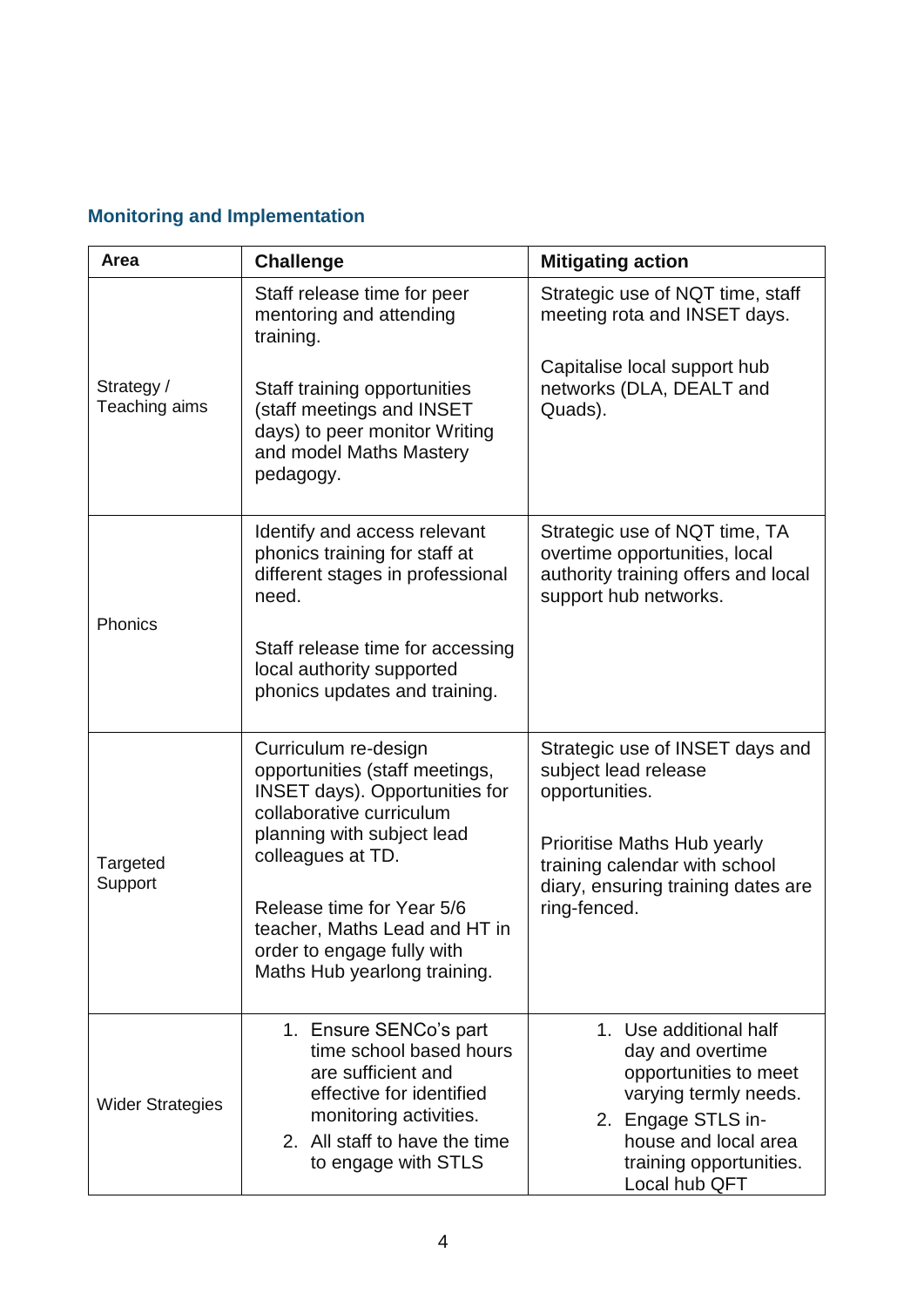# **Monitoring and Implementation**

| Area                        | <b>Challenge</b>                                                                                                                                                                                                                                                                                                            | <b>Mitigating action</b>                                                                                                                                                               |
|-----------------------------|-----------------------------------------------------------------------------------------------------------------------------------------------------------------------------------------------------------------------------------------------------------------------------------------------------------------------------|----------------------------------------------------------------------------------------------------------------------------------------------------------------------------------------|
|                             | Staff release time for peer<br>mentoring and attending<br>training.                                                                                                                                                                                                                                                         | Strategic use of NQT time, staff<br>meeting rota and INSET days.                                                                                                                       |
| Strategy /<br>Teaching aims | Staff training opportunities<br>(staff meetings and INSET<br>days) to peer monitor Writing<br>and model Maths Mastery<br>pedagogy.                                                                                                                                                                                          | Capitalise local support hub<br>networks (DLA, DEALT and<br>Quads).                                                                                                                    |
| Phonics                     | Identify and access relevant<br>phonics training for staff at<br>different stages in professional<br>need.                                                                                                                                                                                                                  | Strategic use of NQT time, TA<br>overtime opportunities, local<br>authority training offers and local<br>support hub networks.                                                         |
|                             | Staff release time for accessing<br>local authority supported<br>phonics updates and training.                                                                                                                                                                                                                              |                                                                                                                                                                                        |
| Targeted<br>Support         | Curriculum re-design<br>Strategic use of INSET days and<br>opportunities (staff meetings,<br>subject lead release<br><b>INSET days). Opportunities for</b><br>opportunities.<br>collaborative curriculum<br>planning with subject lead<br>Prioritise Maths Hub yearly<br>colleagues at TD.<br>training calendar with school |                                                                                                                                                                                        |
|                             | Release time for Year 5/6<br>teacher, Maths Lead and HT in<br>order to engage fully with<br>Maths Hub yearlong training.                                                                                                                                                                                                    | diary, ensuring training dates are<br>ring-fenced.                                                                                                                                     |
| <b>Wider Strategies</b>     | 1. Ensure SENCo's part<br>time school based hours<br>are sufficient and<br>effective for identified<br>monitoring activities.<br>2. All staff to have the time<br>to engage with STLS                                                                                                                                       | 1. Use additional half<br>day and overtime<br>opportunities to meet<br>varying termly needs.<br>2. Engage STLS in-<br>house and local area<br>training opportunities.<br>Local hub QFT |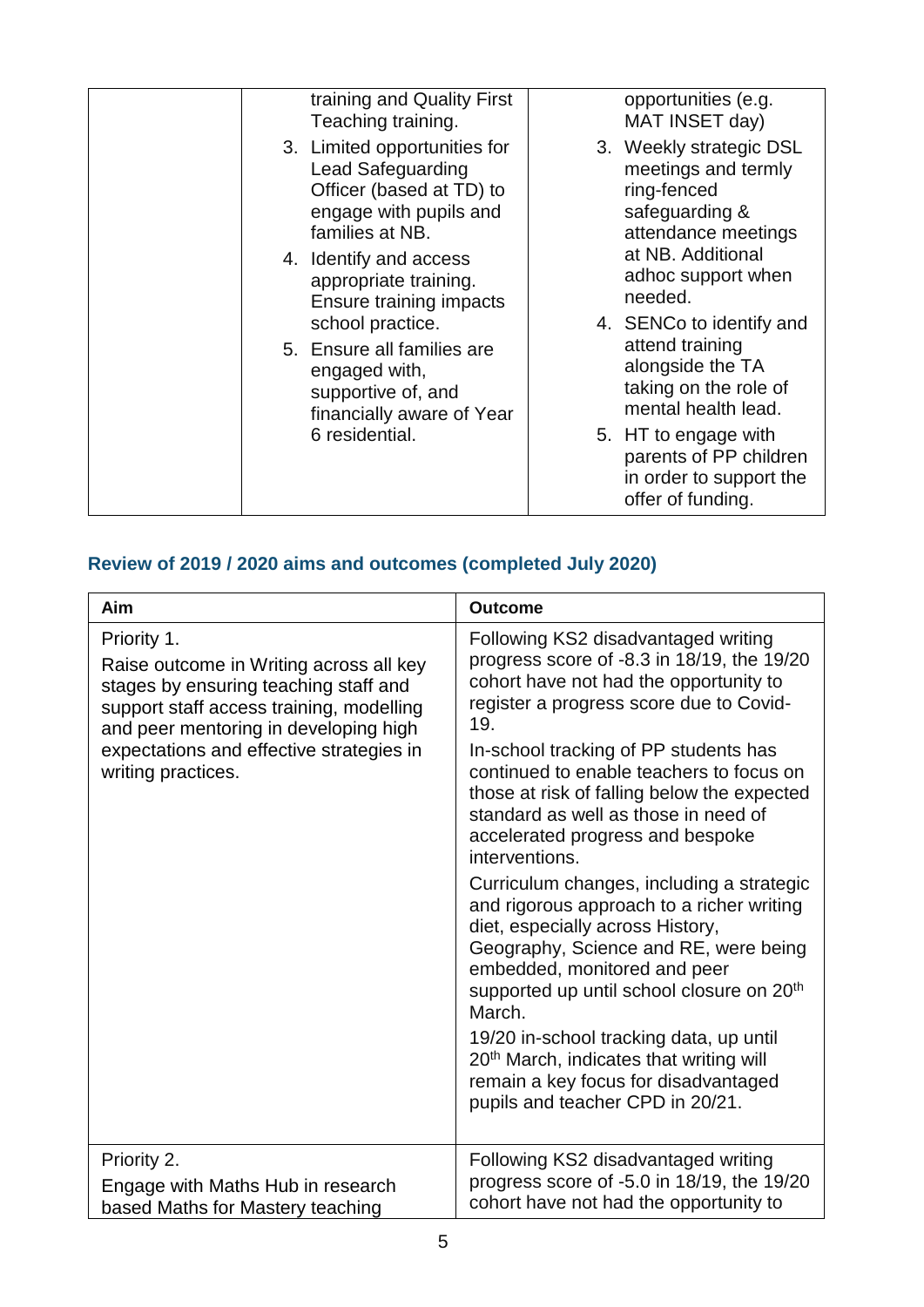| training and Quality First<br>Teaching training.                                                                                  | opportunities (e.g.<br>MAT INSET day)                                                                  |
|-----------------------------------------------------------------------------------------------------------------------------------|--------------------------------------------------------------------------------------------------------|
| 3. Limited opportunities for<br><b>Lead Safeguarding</b><br>Officer (based at TD) to<br>engage with pupils and<br>families at NB. | 3. Weekly strategic DSL<br>meetings and termly<br>ring-fenced<br>safeguarding &<br>attendance meetings |
| 4. Identify and access<br>appropriate training.<br>Ensure training impacts                                                        | at NB. Additional<br>adhoc support when<br>needed.                                                     |
| school practice.                                                                                                                  | 4. SENCo to identify and                                                                               |
| 5. Ensure all families are<br>engaged with,<br>supportive of, and<br>financially aware of Year                                    | attend training<br>alongside the TA<br>taking on the role of<br>mental health lead.                    |
| 6 residential.                                                                                                                    | 5. HT to engage with<br>parents of PP children<br>in order to support the<br>offer of funding.         |

# **Review of 2019 / 2020 aims and outcomes (completed July 2020)**

| Aim                                                                                                                                                                                                                                                    | <b>Outcome</b>                                                                                                                                                                                                                                                                                                                                                                                                   |
|--------------------------------------------------------------------------------------------------------------------------------------------------------------------------------------------------------------------------------------------------------|------------------------------------------------------------------------------------------------------------------------------------------------------------------------------------------------------------------------------------------------------------------------------------------------------------------------------------------------------------------------------------------------------------------|
| Priority 1.<br>Raise outcome in Writing across all key<br>stages by ensuring teaching staff and<br>support staff access training, modelling<br>and peer mentoring in developing high<br>expectations and effective strategies in<br>writing practices. | Following KS2 disadvantaged writing<br>progress score of -8.3 in 18/19, the 19/20<br>cohort have not had the opportunity to<br>register a progress score due to Covid-<br>19.<br>In-school tracking of PP students has<br>continued to enable teachers to focus on<br>those at risk of falling below the expected<br>standard as well as those in need of<br>accelerated progress and bespoke<br>interventions.  |
|                                                                                                                                                                                                                                                        | Curriculum changes, including a strategic<br>and rigorous approach to a richer writing<br>diet, especially across History,<br>Geography, Science and RE, were being<br>embedded, monitored and peer<br>supported up until school closure on 20 <sup>th</sup><br>March.<br>19/20 in-school tracking data, up until<br>20 <sup>th</sup> March, indicates that writing will<br>remain a key focus for disadvantaged |
|                                                                                                                                                                                                                                                        | pupils and teacher CPD in 20/21.                                                                                                                                                                                                                                                                                                                                                                                 |
| Priority 2.<br>Engage with Maths Hub in research<br>based Maths for Mastery teaching                                                                                                                                                                   | Following KS2 disadvantaged writing<br>progress score of -5.0 in 18/19, the 19/20<br>cohort have not had the opportunity to                                                                                                                                                                                                                                                                                      |